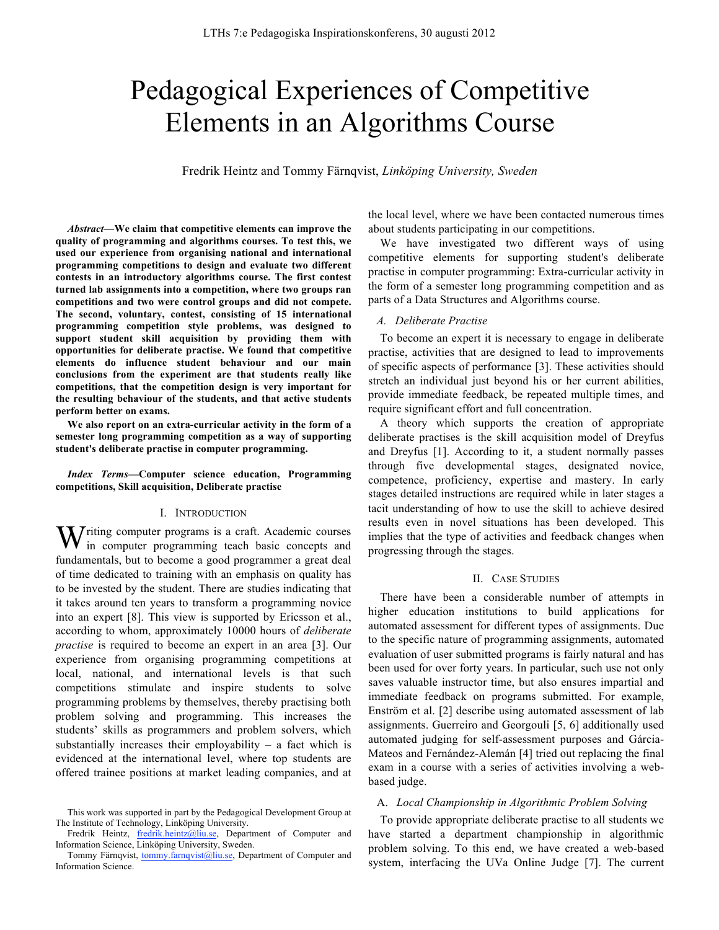# Pedagogical Experiences of Competitive Elements in an Algorithms Course

Fredrik Heintz and Tommy Färnqvist, *Linköping University, Sweden*

*Abstract***—We claim that competitive elements can improve the quality of programming and algorithms courses. To test this, we used our experience from organising national and international programming competitions to design and evaluate two different contests in an introductory algorithms course. The first contest turned lab assignments into a competition, where two groups ran competitions and two were control groups and did not compete. The second, voluntary, contest, consisting of 15 international programming competition style problems, was designed to support student skill acquisition by providing them with opportunities for deliberate practise. We found that competitive elements do influence student behaviour and our main conclusions from the experiment are that students really like competitions, that the competition design is very important for the resulting behaviour of the students, and that active students perform better on exams.** 

**We also report on an extra-curricular activity in the form of a semester long programming competition as a way of supporting student's deliberate practise in computer programming.**

*Index Terms***—Computer science education, Programming competitions, Skill acquisition, Deliberate practise**

### I. INTRODUCTION

W riting computer programs is a craft. Academic courses in computer programming teach basic concepts and  $\mathbf V$  in computer programming teach basic concepts and fundamentals, but to become a good programmer a great deal of time dedicated to training with an emphasis on quality has to be invested by the student. There are studies indicating that it takes around ten years to transform a programming novice into an expert [8]. This view is supported by Ericsson et al., according to whom, approximately 10000 hours of *deliberate practise* is required to become an expert in an area [3]. Our experience from organising programming competitions at local, national, and international levels is that such competitions stimulate and inspire students to solve programming problems by themselves, thereby practising both problem solving and programming. This increases the students' skills as programmers and problem solvers, which substantially increases their employability – a fact which is evidenced at the international level, where top students are offered trainee positions at market leading companies, and at

the local level, where we have been contacted numerous times about students participating in our competitions.

We have investigated two different ways of using competitive elements for supporting student's deliberate practise in computer programming: Extra-curricular activity in the form of a semester long programming competition and as parts of a Data Structures and Algorithms course.

## *A. Deliberate Practise*

To become an expert it is necessary to engage in deliberate practise, activities that are designed to lead to improvements of specific aspects of performance [3]. These activities should stretch an individual just beyond his or her current abilities, provide immediate feedback, be repeated multiple times, and require significant effort and full concentration.

A theory which supports the creation of appropriate deliberate practises is the skill acquisition model of Dreyfus and Dreyfus [1]. According to it, a student normally passes through five developmental stages, designated novice, competence, proficiency, expertise and mastery. In early stages detailed instructions are required while in later stages a tacit understanding of how to use the skill to achieve desired results even in novel situations has been developed. This implies that the type of activities and feedback changes when progressing through the stages.

## II. CASE STUDIES

There have been a considerable number of attempts in higher education institutions to build applications for automated assessment for different types of assignments. Due to the specific nature of programming assignments, automated evaluation of user submitted programs is fairly natural and has been used for over forty years. In particular, such use not only saves valuable instructor time, but also ensures impartial and immediate feedback on programs submitted. For example, Enström et al. [2] describe using automated assessment of lab assignments. Guerreiro and Georgouli [5, 6] additionally used automated judging for self-assessment purposes and Gárcia-Mateos and Fernández-Alemán [4] tried out replacing the final exam in a course with a series of activities involving a webbased judge.

## A. *Local Championship in Algorithmic Problem Solving*

To provide appropriate deliberate practise to all students we have started a department championship in algorithmic problem solving. To this end, we have created a web-based system, interfacing the UVa Online Judge [7]. The current

This work was supported in part by the Pedagogical Development Group at The Institute of Technology, Linköping University.

Fredrik Heintz, fredrik.heintz@liu.se, Department of Computer and Information Science, Linköping University, Sweden.

Tommy Färnqvist, tommy.farnqvist@liu.se, Department of Computer and Information Science.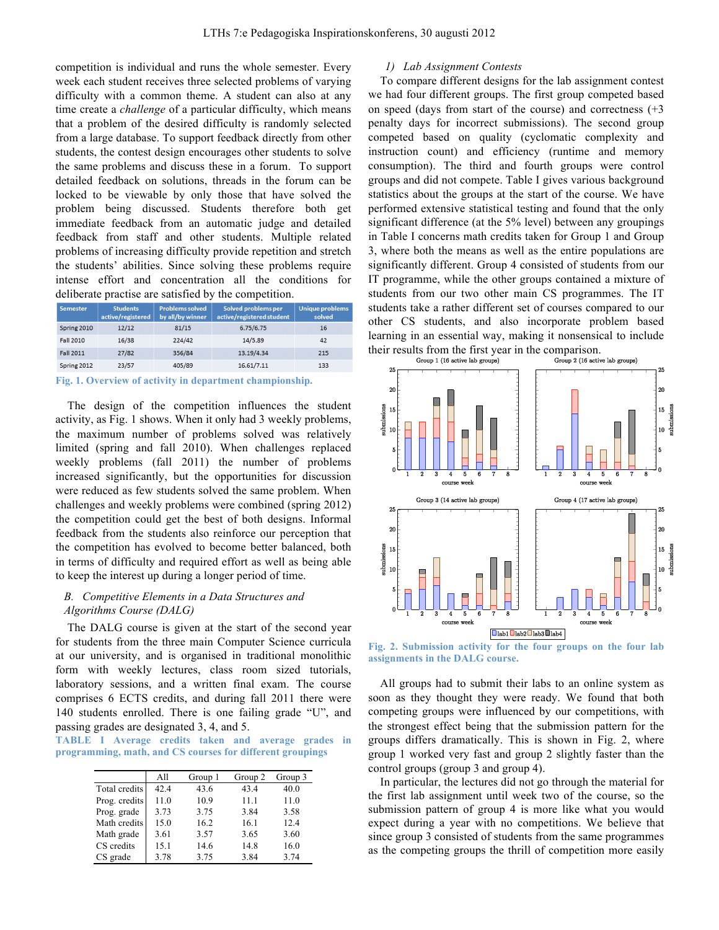competition is individual and runs the whole semester. Every week each student receives three selected problems of varying difficulty with a common theme. A student can also at any time create a *challenge* of a particular difficulty, which means that a problem of the desired difficulty is randomly selected from a large database. To support feedback directly from other students, the contest design encourages other students to solve the same problems and discuss these in a forum. To support detailed feedback on solutions, threads in the forum can be locked to be viewable by only those that have solved the problem being discussed. Students therefore both get immediate feedback from an automatic judge and detailed feedback from staff and other students. Multiple related problems of increasing difficulty provide repetition and stretch the students' abilities. Since solving these problems require intense effort and concentration all the conditions for deliberate practise are satisfied by the competition.

| Semester    | <b>Students</b><br>active/registered | <b>Problems solved</b><br>by all/by winner | Solved problems per<br>active/registered student | <b>Unique problems</b><br>solved |
|-------------|--------------------------------------|--------------------------------------------|--------------------------------------------------|----------------------------------|
| Spring 2010 | 12/12                                | 81/15                                      | 6.75/6.75                                        | 16                               |
| Fall 2010   | 16/38                                | 224/42                                     | 14/5.89                                          | 42                               |
| Fall 2011   | 27/82                                | 356/84                                     | 13.19/4.34                                       | 215                              |
| Spring 2012 | 23/57                                | 405/89                                     | 16.61/7.11                                       | 133                              |

**Fig. 1. Overview of activity in department championship.**

The design of the competition influences the student activity, as Fig. 1 shows. When it only had 3 weekly problems, the maximum number of problems solved was relatively limited (spring and fall 2010). When challenges replaced weekly problems (fall 2011) the number of problems increased significantly, but the opportunities for discussion were reduced as few students solved the same problem. When challenges and weekly problems were combined (spring 2012) the competition could get the best of both designs. Informal feedback from the students also reinforce our perception that the competition has evolved to become better balanced, both in terms of difficulty and required effort as well as being able to keep the interest up during a longer period of time.

# *B. Competitive Elements in a Data Structures and Algorithms Course (DALG)*

The DALG course is given at the start of the second year for students from the three main Computer Science curricula at our university, and is organised in traditional monolithic form with weekly lectures, class room sized tutorials, laboratory sessions, and a written final exam. The course comprises 6 ECTS credits, and during fall 2011 there were 140 students enrolled. There is one failing grade "U", and passing grades are designated 3, 4, and 5.

**TABLE I Average credits taken and average grades in programming, math, and CS courses for different groupings**

|               | All  | Group 1 | Group 2 | Group 3 |
|---------------|------|---------|---------|---------|
| Total credits | 42.4 | 43.6    | 43.4    | 40.0    |
| Prog. credits | 11.0 | 10.9    | 11.1    | 11.0    |
| Prog. grade   | 3.73 | 3.75    | 3.84    | 3.58    |
| Math credits  | 15.0 | 16.2    | 16.1    | 12.4    |
| Math grade    | 3.61 | 3.57    | 3.65    | 3.60    |
| CS credits    | 15.1 | 14.6    | 14.8    | 16.0    |
| CS grade      | 3.78 | 3.75    | 3.84    | 3.74    |

## *1) Lab Assignment Contests*

To compare different designs for the lab assignment contest we had four different groups. The first group competed based on speed (days from start of the course) and correctness  $(+3)$ penalty days for incorrect submissions). The second group competed based on quality (cyclomatic complexity and instruction count) and efficiency (runtime and memory consumption). The third and fourth groups were control groups and did not compete. Table I gives various background statistics about the groups at the start of the course. We have performed extensive statistical testing and found that the only significant difference (at the 5% level) between any groupings in Table I concerns math credits taken for Group 1 and Group 3, where both the means as well as the entire populations are significantly different. Group 4 consisted of students from our IT programme, while the other groups contained a mixture of students from our two other main CS programmes. The IT students take a rather different set of courses compared to our other CS students, and also incorporate problem based learning in an essential way, making it nonsensical to include



**Fig. 2. Submission activity for the four groups on the four lab assignments in the DALG course.**

All groups had to submit their labs to an online system as soon as they thought they were ready. We found that both competing groups were influenced by our competitions, with the strongest effect being that the submission pattern for the groups differs dramatically. This is shown in Fig. 2, where group 1 worked very fast and group 2 slightly faster than the control groups (group 3 and group 4).

In particular, the lectures did not go through the material for the first lab assignment until week two of the course, so the submission pattern of group 4 is more like what you would expect during a year with no competitions. We believe that since group 3 consisted of students from the same programmes as the competing groups the thrill of competition more easily